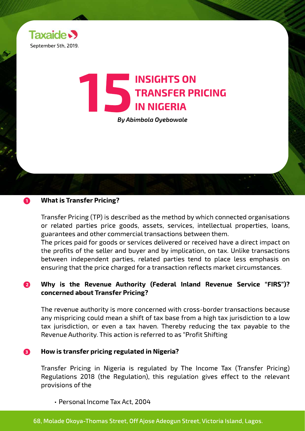

# **15 INSIGHTS ON TRANSFER PRICE By Abimbola Oyebowale TRANSFER PRICING IN NIGERIA**

*By Abimbola Oyebowale*

### **What is Transfer Pricing? 1**

Transfer Pricing (TP) is described as the method by which connected organisations or related parties price goods, assets, services, intellectual properties, loans, guarantees and other commercial transactions between them.

The prices paid for goods or services delivered or received have a direct impact on the profits of the seller and buyer and by implication, on tax. Unlike transactions between independent parties, related parties tend to place less emphasis on ensuring that the price charged for a transaction reflects market circumstances.

### **Why is the Revenue Authority (Federal Inland Revenue Service "FIRS")? concerned about Transfer Pricing? 2**

The revenue authority is more concerned with cross-border transactions because any mispricing could mean a shift of tax base from a high tax jurisdiction to a low tax jurisdiction, or even a tax haven. Thereby reducing the tax payable to the Revenue Authority. This action is referred to as "Profit Shifting

### **How is transfer pricing regulated in Nigeria? 3**

Transfer Pricing in Nigeria is regulated by The Income Tax (Transfer Pricing) Regulations 2018 (the Regulation), this regulation gives effect to the relevant provisions of the

• Personal Income Tax Act, 2004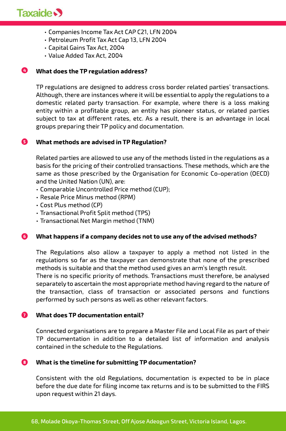

- Companies Income Tax Act CAP C21, LFN 2004
- Petroleum Profit Tax Act Cap 13, LFN 2004
- Capital Gains Tax Act, 2004
- Value Added Tax Act, 2004

### **4 What does the TP regulation address?**

TP regulations are designed to address cross border related parties' transactions. Although, there are instances where it will be essential to apply the regulations to a domestic related party transaction. For example, where there is a loss making entity within a profitable group, an entity has pioneer status, or related parties subject to tax at different rates, etc. As a result, there is an advantage in local groups preparing their TP policy and documentation.

### **5 What methods are advised in TP Regulation?**

Related parties are allowed to use any of the methods listed in the regulations as a basis for the pricing of their controlled transactions. These methods, which are the same as those prescribed by the Organisation for Economic Co-operation (OECD) and the United Nation (UN), are:

- Comparable Uncontrolled Price method (CUP);
- Resale Price Minus method (RPM)
- Cost Plus method (CP)
- Transactional Profit Split method (TPS)
- Transactional Net Margin method (TNM)

### **6 What happens if a company decides not to use any of the advised methods?**

The Regulations also allow a taxpayer to apply a method not listed in the regulations so far as the taxpayer can demonstrate that none of the prescribed methods is suitable and that the method used gives an arm's length result.

There is no specific priority of methods. Transactions must therefore, be analysed separately to ascertain the most appropriate method having regard to the nature of the transaction, class of transaction or associated persons and functions performed by such persons as well as other relevant factors.

#### **7 What does TP documentation entail?**

Connected organisations are to prepare a Master File and Local File as part of their TP documentation in addition to a detailed list of information and analysis contained in the schedule to the Regulations.

### **8 What is the timeline for submitting TP documentation?**

Consistent with the old Regulations, documentation is expected to be in place before the due date for filing income tax returns and is to be submitted to the FIRS upon request within 21 days.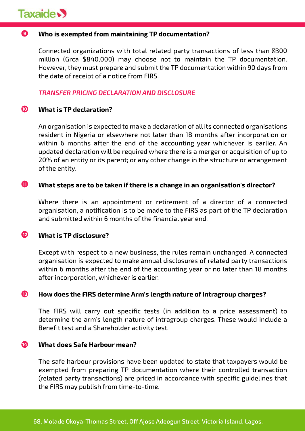

### **Who is exempted from maintaining TP documentation? 9**

Connected organizations with total related party transactions of less than 8300 million (Grca \$840,000) may choose not to maintain the TP documentation. However, they must prepare and submit the TP documentation within 90 days from the date of receipt of a notice from FIRS.

### *TRANSFER PRICING DECLARATION AND DISCLOSURE*

### **What is is TP declaration? 10**

An organisation is expected to make a declaration of all its connected organisations resident in Nigeria or elsewhere not later than 18 months after incorporation or within 6 months after the end of the accounting year whichever is earlier. An updated declaration will be required where there is a merger or acquisition of up to 20% of an entity or its parent; or any other change in the structure or arrangement of the entity.

### **What steps a are to be taken if there is a change in an organisation's director? 11**

Where there is an appointment or retirement of a director of a connected organisation, a notification is to be made to the FIRS as part of the TP declaration and submitted within 6 months of the financial year end.

### **What is TP disclosure? 12**

Except with respect to a new business, the rules remain unchanged. A connected organisation is expected to make annual disclosures of related party transactions within 6 months after the end of the accounting year or no later than 18 months after incorporation, whichever is earlier.

### **How does the FIRS determine Arm's length nature of Intragroup charges? 13**

The FIRS will carry out specific tests (in addition to a price assessment) to determine the arm's length nature of intragroup charges. These would include a Benefit test and a Shareholder activity test.

### **What does Safe Harbour mean? 14**

The safe harbour provisions have been updated to state that taxpayers would be exempted from preparing TP documentation where their controlled transaction (related party transactions) are priced in accordance with specific guidelines that the FIRS may publish from time-to-time.